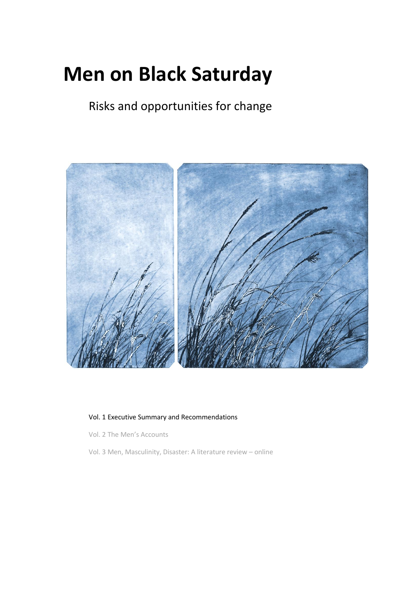# **Men on Black Saturday**

Risks and opportunities for change



# Vol. 1 Executive Summary and Recommendations

Vol. 2 The Men's Accounts

Vol. 3 Men, Masculinity, Disaster: A literature review – online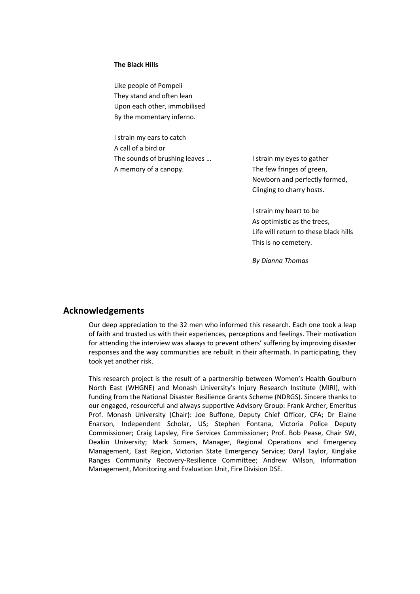#### **The Black Hills**

Like people of Pompeii They stand and often lean Upon each other, immobilised By the momentary inferno.

I strain my ears to catch A call of a bird or The sounds of brushing leaves … A memory of a canopy.

I strain my eyes to gather The few fringes of green, Newborn and perfectly formed, Clinging to charry hosts.

I strain my heart to be As optimistic as the trees, Life will return to these black hills This is no cemetery.

*By Dianna Thomas*

# **Acknowledgements**

Our deep appreciation to the 32 men who informed this research. Each one took a leap of faith and trusted us with their experiences, perceptions and feelings. Their motivation for attending the interview was always to prevent others' suffering by improving disaster responses and the way communities are rebuilt in their aftermath. In participating, they took yet another risk.

This research project is the result of a partnership between Women's Health Goulburn North East (WHGNE) and Monash University's Injury Research Institute (MIRI), with funding from the National Disaster Resilience Grants Scheme (NDRGS). Sincere thanks to our engaged, resourceful and always supportive Advisory Group: Frank Archer, Emeritus Prof. Monash University (Chair): Joe Buffone, Deputy Chief Officer, CFA; Dr Elaine Enarson, Independent Scholar, US; Stephen Fontana, Victoria Police Deputy Commissioner; Craig Lapsley, Fire Services Commissioner; Prof. Bob Pease, Chair SW, Deakin University; Mark Somers, Manager, Regional Operations and Emergency Management, East Region, Victorian State Emergency Service; Daryl Taylor, Kinglake Ranges Community Recovery-Resilience Committee; Andrew Wilson, Information Management, Monitoring and Evaluation Unit, Fire Division DSE.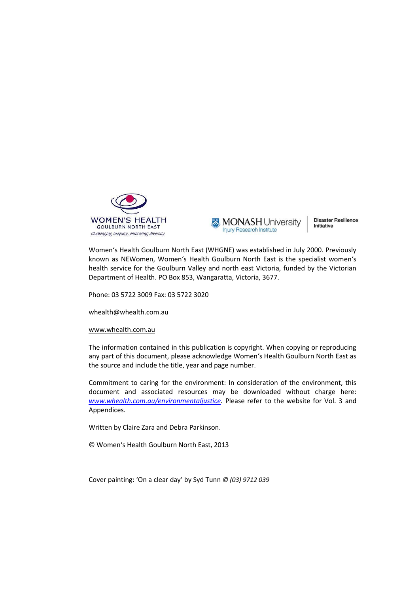

**MONASH University Injury Research Institute** 

**Disaster Resilience** Initiative

Women's Health Goulburn North East (WHGNE) was established in July 2000. Previously known as NEWomen, Women's Health Goulburn North East is the specialist women's health service for the Goulburn Valley and north east Victoria, funded by the Victorian Department of Health. PO Box 853, Wangaratta, Victoria, 3677.

Phone: 03 5722 3009 Fax: 03 5722 3020

whealth@whealth.com.au

#### [www.whealth.com.au](http://www.whealth.com.au/)

The information contained in this publication is copyright. When copying or reproducing any part of this document, please acknowledge Women's Health Goulburn North East as the source and include the title, year and page number.

Commitment to caring for the environment: In consideration of the environment, this document and associated resources may be downloaded without charge here: *[www.whealth.com.au/environmentaljustice](http://www.whealth.com.au/environmentaljustice)*. Please refer to the website for Vol. 3 and Appendices.

Written by Claire Zara and Debra Parkinson.

© Women's Health Goulburn North East, 2013

Cover painting: 'On a clear day' by Syd Tunn *© (03) 9712 039*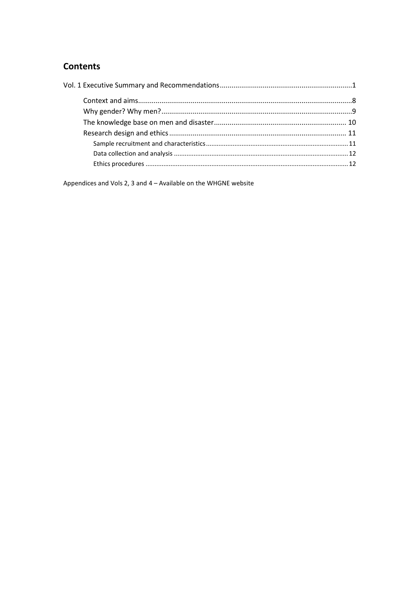# **Contents**

Appendices and Vols 2, 3 and 4 - Available on the WHGNE website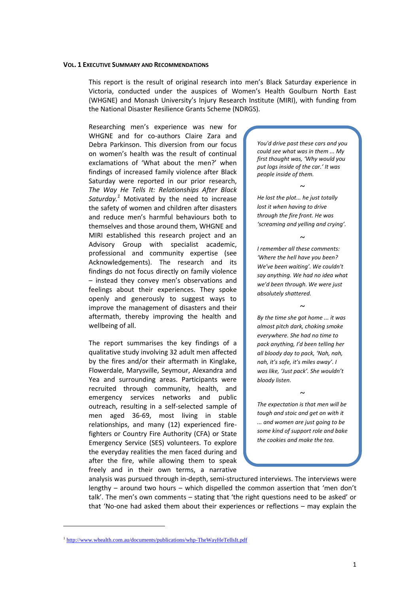#### <span id="page-6-0"></span>**VOL. 1 EXECUTIVE SUMMARY AND RECOMMENDATIONS**

This report is the result of original research into men's Black Saturday experience in Victoria, conducted under the auspices of Women's Health Goulburn North East (WHGNE) and Monash University's Injury Research Institute (MIRI), with funding from the National Disaster Resilience Grants Scheme (NDRGS).

Researching men's experience was new for WHGNE and for co-authors Claire Zara and Debra Parkinson. This diversion from our focus on women's health was the result of continual exclamations of 'What about the men?' when findings of increased family violence after Black Saturday were reported in our prior research, *The Way He Tells It: Relationships After Black Saturday.<sup>1</sup>* Motivated by the need to increase the safety of women and children after disasters and reduce men's harmful behaviours both to themselves and those around them, WHGNE and MIRI established this research project and an Advisory Group with specialist academic, professional and community expertise (see Acknowledgements). The research and its findings do not focus directly on family violence – instead they convey men's observations and feelings about their experiences. They spoke openly and generously to suggest ways to improve the management of disasters and their aftermath, thereby improving the health and wellbeing of all.

The report summarises the key findings of a qualitative study involving 32 adult men affected by the fires and/or their aftermath in Kinglake, Flowerdale, Marysville, Seymour, Alexandra and Yea and surrounding areas. Participants were recruited through community, health, and emergency services networks and public outreach, resulting in a self-selected sample of men aged 36-69, most living in stable relationships, and many (12) experienced firefighters or Country Fire Authority (CFA) or State Emergency Service (SES) volunteers. To explore the everyday realities the men faced during and after the fire, while allowing them to speak freely and in their own terms, a narrative

*You'd drive past these cars and you could see what was in them ... My first thought was, 'Why would you put logs inside of the car.' It was people inside of them.* 

*He lost the plot... he just totally lost it when having to drive through the fire front. He was 'screaming and yelling and crying'.*

*~*

*~*

*I remember all these comments: 'Where the hell have you been? We've been waiting'. We couldn't say anything. We had no idea what we'd been through. We were just absolutely shattered.* 

*~*

*By the time she got home ... it was almost pitch dark, choking smoke everywhere. She had no time to pack anything, I'd been telling her all bloody day to pack, 'Nah, nah, nah, it's safe, it's miles away'. I was like, 'Just pack'. She wouldn't bloody listen.* 

*The expectation is that men will be tough and stoic and get on with it ... and women are just going to be some kind of support role and bake the cookies and make the tea.* 

*~*

analysis was pursued through in-depth, semi-structured interviews. The interviews were lengthy – around two hours – which dispelled the common assertion that 'men don't talk'. The men's own comments - stating that 'the right questions need to be asked' or that 'No-one had asked them about their experiences or reflections - may explain the

<sup>&</sup>lt;sup>1</sup> <http://www.whealth.com.au/documents/publications/whp-TheWayHeTellsIt.pdf>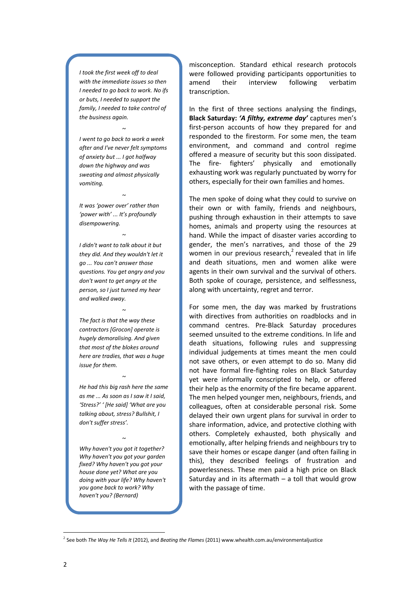*I took the first week off to deal with the immediate issues so then I needed to go back to work. No ifs or buts, I needed to support the family, I needed to take control of the business again.* 

*I went to go back to work a week after and I've never felt symptoms of anxiety but ... I got halfway down the highway and was sweating and almost physically vomiting.*

*~*

*~*

*~*

*It was 'power over' rather than 'power with' ... It's profoundly disempowering.*

*I didn't want to talk about it but they did. And they wouldn't let it go ... You can't answer those questions. You get angry and you don't want to get angry at the person, so I just turned my hear and walked away.* 

*The fact is that the way these contractors [Grocon] operate is hugely demoralising. And given that most of the blokes around here are tradies, that was a huge issue for them.*

*~*

*He had this big rash here the same as me ... As soon as I saw it I said, 'Stress?' ' [He said] 'What are you talking about, stress? Bullshit, I don't suffer stress'.* 

*~*

*~*

*Why haven't you got it together? Why haven't you got your garden fixed? Why haven't you got your house done yet? What are you doing with your life? Why haven't you gone back to work? Why haven't you? (Bernard)*

misconception. Standard ethical research protocols were followed providing participants opportunities to amend their interview following verbatim transcription.

In the first of three sections analysing the findings, **Black Saturday:** *'A filthy, extreme day'* captures men's first-person accounts of how they prepared for and responded to the firestorm. For some men, the team environment, and command and control regime offered a measure of security but this soon dissipated. The fire- fighters' physically and emotionally exhausting work was regularly punctuated by worry for others, especially for their own families and homes.

The men spoke of doing what they could to survive on their own or with family, friends and neighbours, pushing through exhaustion in their attempts to save homes, animals and property using the resources at hand. While the impact of disaster varies according to gender, the men's narratives, and those of the 29 women in our previous research, $2$  revealed that in life and death situations, men and women alike were agents in their own survival and the survival of others. Both spoke of courage, persistence, and selflessness, along with uncertainty, regret and terror.

For some men, the day was marked by frustrations with directives from authorities on roadblocks and in command centres. Pre-Black Saturday procedures seemed unsuited to the extreme conditions. In life and death situations, following rules and suppressing individual judgements at times meant the men could not save others, or even attempt to do so. Many did not have formal fire-fighting roles on Black Saturday yet were informally conscripted to help, or offered their help as the enormity of the fire became apparent. The men helped younger men, neighbours, friends, and colleagues, often at considerable personal risk. Some delayed their own urgent plans for survival in order to share information, advice, and protective clothing with others. Completely exhausted, both physically and emotionally, after helping friends and neighbours try to save their homes or escape danger (and often failing in this), they described feelings of frustration and powerlessness. These men paid a high price on Black Saturday and in its aftermath  $-$  a toll that would grow with the passage of time.

<sup>2</sup> See both *The Way He Tells It* (2012), and *Beating the Flames* (2011) www.whealth.com.au/environmentaljustice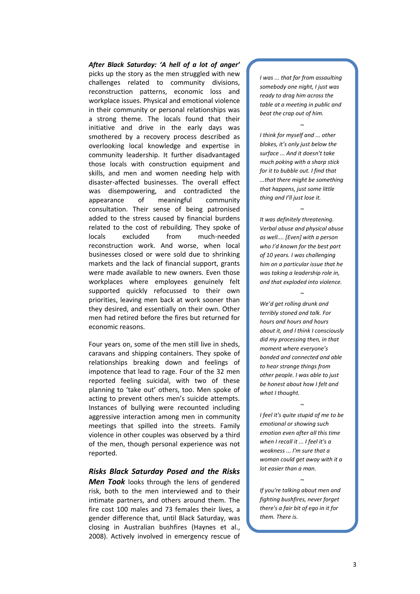*After Black Saturday: 'A hell of a lot of anger'* picks up the story as the men struggled with new challenges related to community divisions, reconstruction patterns, economic loss and workplace issues. Physical and emotional violence in their community or personal relationships was a strong theme. The locals found that their initiative and drive in the early days was smothered by a recovery process described as overlooking local knowledge and expertise in community leadership. It further disadvantaged those locals with construction equipment and skills, and men and women needing help with disaster-affected businesses. The overall effect was disempowering, and contradicted the appearance of meaningful community consultation. Their sense of being patronised added to the stress caused by financial burdens related to the cost of rebuilding. They spoke of locals excluded from much-needed reconstruction work. And worse, when local businesses closed or were sold due to shrinking markets and the lack of financial support, grants were made available to new owners. Even those workplaces where employees genuinely felt supported quickly refocussed to their own priorities, leaving men back at work sooner than they desired, and essentially on their own. Other men had retired before the fires but returned for economic reasons.

Four years on, some of the men still live in sheds, caravans and shipping containers. They spoke of relationships breaking down and feelings of impotence that lead to rage. Four of the 32 men reported feeling suicidal, with two of these planning to 'take out' others, too. Men spoke of acting to prevent others men's suicide attempts. Instances of bullying were recounted including aggressive interaction among men in community meetings that spilled into the streets. Family violence in other couples was observed by a third of the men, though personal experience was not reported.

### *Risks Black Saturday Posed and the Risks*

*Men Took* looks through the lens of gendered risk, both to the men interviewed and to their intimate partners, and others around them. The fire cost 100 males and 73 females their lives, a gender difference that, until Black Saturday, was closing in Australian bushfires (Haynes et al., 2008). Actively involved in emergency rescue of

*I was ... that far from assaulting somebody one night, I just was ready to drag him across the table at a meeting in public and beat the crap out of him.* 

*~*

*I think for myself and ... other blokes, it's only just below the surface ... And it doesn't take much poking with a sharp stick for it to bubble out. I find that ...that there might be something that happens, just some little thing and I'll just lose it.* 

*It was definitely threatening. Verbal abuse and physical abuse as well.... [Even] with a person who I'd known for the best part of 10 years. I was challenging him on a particular issue that he was taking a leadership role in, and that exploded into violence.* 

*~*

*~*

*We'd get rolling drunk and terribly stoned and talk. For hours and hours and hours about it, and I think I consciously did my processing then, in that moment where everyone's bonded and connected and able to hear strange things from other people. I was able to just be honest about how I felt and what I thought.* 

*I feel it's quite stupid of me to be emotional or showing such emotion even after all this time when I recall it ... I feel it's a weakness ... I'm sure that a woman could get away with it a lot easier than a man.* 

*~*

*If you're talking about men and fighting bushfires, never forget there's a fair bit of ego in it for them. There is.*

*~*

*~*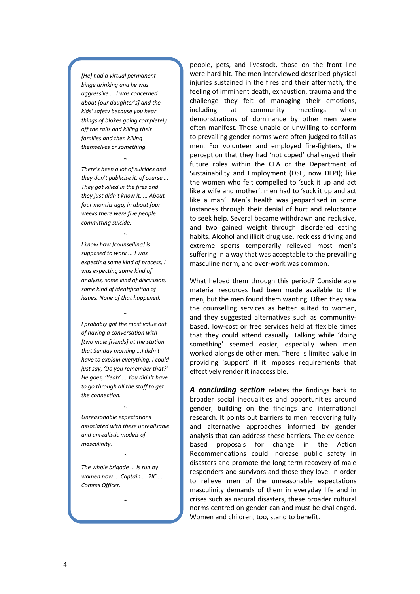*[He] had a virtual permanent binge drinking and he was aggressive ... I was concerned about [our daughter's] and the kids' safety because you hear things of blokes going completely off the rails and killing their families and then killing themselves or something.*

*There's been a lot of suicides and they don't publicise it, of course ... They got killed in the fires and they just didn't know it. ... About four months ago, in about four weeks there were five people committing suicide.* 

*~*

*I know how [counselling] is supposed to work ... I was expecting some kind of process, I was expecting some kind of analysis, some kind of discussion, some kind of identification of issues. None of that happened.*

*~*

*I probably got the most value out of having a conversation with [two male friends] at the station that Sunday morning ...I didn't have to explain everything, I could just say, 'Do you remember that?' He goes, 'Yeah' ... You didn't have to go through all the stuff to get the connection.* 

*~*

*Unreasonable expectations associated with these unrealisable and unrealistic models of masculinity.*

*~*

*~*

*The whole brigade ... is run by women now ... Captain ... 2IC ... Comms Officer.*

*~*

people, pets, and livestock, those on the front line were hard hit. The men interviewed described physical injuries sustained in the fires and their aftermath, the feeling of imminent death, exhaustion, trauma and the challenge they felt of managing their emotions, including at community meetings when demonstrations of dominance by other men were often manifest. Those unable or unwilling to conform to prevailing gender norms were often judged to fail as men. For volunteer and employed fire-fighters, the perception that they had 'not coped' challenged their future roles within the CFA or the Department of Sustainability and Employment (DSE, now DEPI); like the women who felt compelled to 'suck it up and act like a wife and mother', men had to 'suck it up and act like a man'. Men's health was jeopardised in some instances through their denial of hurt and reluctance to seek help. Several became withdrawn and reclusive, and two gained weight through disordered eating habits. Alcohol and illicit drug use, reckless driving and extreme sports temporarily relieved most men's suffering in a way that was acceptable to the prevailing masculine norm, and over-work was common.

What helped them through this period? Considerable material resources had been made available to the men, but the men found them wanting. Often they saw the counselling services as better suited to women, and they suggested alternatives such as communitybased, low-cost or free services held at flexible times that they could attend casually. Talking while 'doing something' seemed easier, especially when men worked alongside other men. There is limited value in providing 'support' if it imposes requirements that effectively render it inaccessible.

*A concluding section* relates the findings back to broader social inequalities and opportunities around gender, building on the findings and international research. It points out barriers to men recovering fully and alternative approaches informed by gender analysis that can address these barriers. The evidencebased proposals for change in the Action Recommendations could increase public safety in disasters and promote the long-term recovery of male responders and survivors and those they love. In order to relieve men of the unreasonable expectations masculinity demands of them in everyday life and in crises such as natural disasters, these broader cultural norms centred on gender can and must be challenged. Women and children, too, stand to benefit.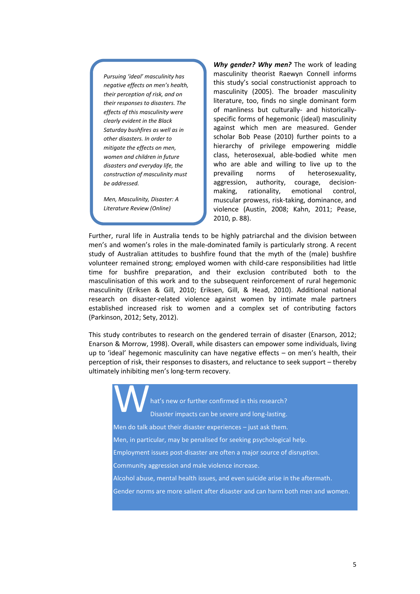*Pursuing 'ideal' masculinity has negative effects on men's health, their perception of risk, and on their responses to disasters. The effects of this masculinity were clearly evident in the Black Saturday bushfires as well as in other disasters. In order to mitigate the effects on men, women and children in future disasters and everyday life, the construction of masculinity must be addressed.* 

*Men, Masculinity, Disaster: A Literature Review (Online)*

*Why gender? Why men?* The work of leading masculinity theorist Raewyn Connell informs this study's social constructionist approach to masculinity (2005). The broader masculinity literature, too, finds no single dominant form of manliness but culturally- and historicallyspecific forms of hegemonic (ideal) masculinity against which men are measured. Gender scholar Bob Pease (2010) further points to a hierarchy of privilege empowering middle class, heterosexual, able-bodied white men who are able and willing to live up to the prevailing norms of heterosexuality, aggression, authority, courage, decisionmaking, rationality, emotional control, muscular prowess, risk-taking, dominance, and violence (Austin, 2008; Kahn, 2011; Pease, 2010, p. 88).

Further, rural life in Australia tends to be highly patriarchal and the division between men's and women's roles in the male-dominated family is particularly strong. A recent study of Australian attitudes to bushfire found that the myth of the (male) bushfire volunteer remained strong; employed women with child-care responsibilities had little time for bushfire preparation, and their exclusion contributed both to the masculinisation of this work and to the subsequent reinforcement of rural hegemonic masculinity (Eriksen & Gill, 2010; Eriksen, Gill, & Head, 2010). Additional national research on disaster-related violence against women by intimate male partners established increased risk to women and a complex set of contributing factors (Parkinson, 2012; Sety, 2012).

This study contributes to research on the gendered terrain of disaster (Enarson, 2012; Enarson & Morrow, 1998). Overall, while disasters can empower some individuals, living up to 'ideal' hegemonic masculinity can have negative effects – on men's health, their perception of risk, their responses to disasters, and reluctance to seek support – thereby ultimately inhibiting men's long-term recovery.

hat's new or further confirmed in this research? Disaster impacts can be severe and long-lasting. Men do talk about their disaster experiences  $-$  just ask them. Men, in particular, may be penalised for seeking psychological help. Employment issues post-disaster are often a major source of disruption. Community aggression and male violence increase. Alcohol abuse, mental health issues, and even suicide arise in the aftermath. Gender norms are more salient after disaster and can harm both men and women. W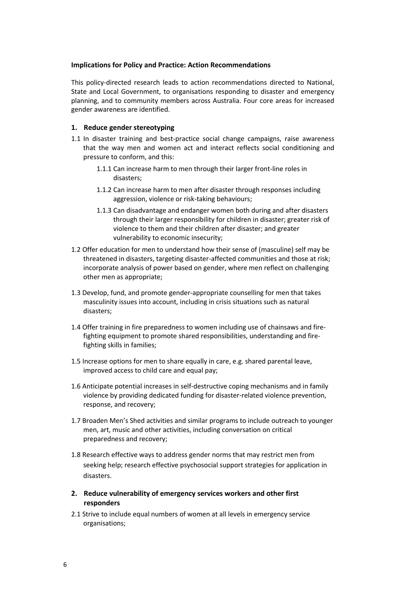#### **Implications for Policy and Practice: Action Recommendations**

This policy-directed research leads to action recommendations directed to National, State and Local Government, to organisations responding to disaster and emergency planning, and to community members across Australia. Four core areas for increased gender awareness are identified.

## **1. Reduce gender stereotyping**

- 1.1 In disaster training and best-practice social change campaigns, raise awareness that the way men and women act and interact reflects social conditioning and pressure to conform, and this:
	- 1.1.1 Can increase harm to men through their larger front-line roles in disasters;
	- 1.1.2 Can increase harm to men after disaster through responses including aggression, violence or risk-taking behaviours;
	- 1.1.3 Can disadvantage and endanger women both during and after disasters through their larger responsibility for children in disaster; greater risk of violence to them and their children after disaster; and greater vulnerability to economic insecurity;
- 1.2 Offer education for men to understand how their sense of (masculine) self may be threatened in disasters, targeting disaster-affected communities and those at risk; incorporate analysis of power based on gender, where men reflect on challenging other men as appropriate;
- 1.3 Develop, fund, and promote gender-appropriate counselling for men that takes masculinity issues into account, including in crisis situations such as natural disasters;
- 1.4 Offer training in fire preparedness to women including use of chainsaws and firefighting equipment to promote shared responsibilities, understanding and firefighting skills in families;
- 1.5 Increase options for men to share equally in care, e.g. shared parental leave, improved access to child care and equal pay;
- 1.6 Anticipate potential increases in self-destructive coping mechanisms and in family violence by providing dedicated funding for disaster-related violence prevention, response, and recovery;
- 1.7 Broaden Men's Shed activities and similar programs to include outreach to younger men, art, music and other activities, including conversation on critical preparedness and recovery;
- 1.8 Research effective ways to address gender norms that may restrict men from seeking help; research effective psychosocial support strategies for application in disasters.
- **2. Reduce vulnerability of emergency services workers and other first responders**
- 2.1 Strive to include equal numbers of women at all levels in emergency service organisations;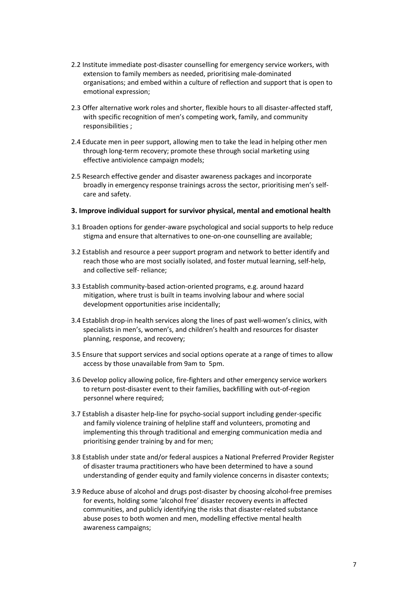- 2.2 Institute immediate post-disaster counselling for emergency service workers, with extension to family members as needed, prioritising male-dominated organisations; and embed within a culture of reflection and support that is open to emotional expression;
- 2.3 Offer alternative work roles and shorter, flexible hours to all disaster-affected staff, with specific recognition of men's competing work, family, and community responsibilities ;
- 2.4 Educate men in peer support, allowing men to take the lead in helping other men through long-term recovery; promote these through social marketing using effective antiviolence campaign models;
- 2.5 Research effective gender and disaster awareness packages and incorporate broadly in emergency response trainings across the sector, prioritising men's selfcare and safety.
- **3. Improve individual support for survivor physical, mental and emotional health**
- 3.1 Broaden options for gender-aware psychological and social supports to help reduce stigma and ensure that alternatives to one-on-one counselling are available;
- 3.2 Establish and resource a peer support program and network to better identify and reach those who are most socially isolated, and foster mutual learning, self-help, and collective self- reliance;
- 3.3 Establish community-based action-oriented programs, e.g. around hazard mitigation, where trust is built in teams involving labour and where social development opportunities arise incidentally;
- 3.4 Establish drop-in health services along the lines of past well-women's clinics, with specialists in men's, women's, and children's health and resources for disaster planning, response, and recovery;
- 3.5 Ensure that support services and social options operate at a range of times to allow access by those unavailable from 9am to 5pm.
- 3.6 Develop policy allowing police, fire-fighters and other emergency service workers to return post-disaster event to their families, backfilling with out-of-region personnel where required;
- 3.7 Establish a disaster help-line for psycho-social support including gender-specific and family violence training of helpline staff and volunteers, promoting and implementing this through traditional and emerging communication media and prioritising gender training by and for men;
- 3.8 Establish under state and/or federal auspices a National Preferred Provider Register of disaster trauma practitioners who have been determined to have a sound understanding of gender equity and family violence concerns in disaster contexts;
- 3.9 Reduce abuse of alcohol and drugs post-disaster by choosing alcohol-free premises for events, holding some 'alcohol free' disaster recovery events in affected communities, and publicly identifying the risks that disaster-related substance abuse poses to both women and men, modelling effective mental health awareness campaigns;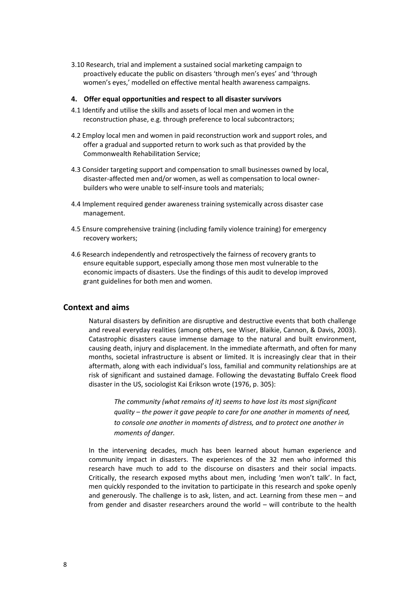3.10 Research, trial and implement a sustained social marketing campaign to proactively educate the public on disasters 'through men's eyes' and 'through women's eyes,' modelled on effective mental health awareness campaigns.

#### **4. Offer equal opportunities and respect to all disaster survivors**

- 4.1 Identify and utilise the skills and assets of local men and women in the reconstruction phase, e.g. through preference to local subcontractors;
- 4.2 Employ local men and women in paid reconstruction work and support roles, and offer a gradual and supported return to work such as that provided by the Commonwealth Rehabilitation Service;
- 4.3 Consider targeting support and compensation to small businesses owned by local, disaster-affected men and/or women, as well as compensation to local ownerbuilders who were unable to self-insure tools and materials;
- 4.4 Implement required gender awareness training systemically across disaster case management.
- 4.5 Ensure comprehensive training (including family violence training) for emergency recovery workers;
- 4.6 Research independently and retrospectively the fairness of recovery grants to ensure equitable support, especially among those men most vulnerable to the economic impacts of disasters. Use the findings of this audit to develop improved grant guidelines for both men and women.

# <span id="page-13-0"></span>**Context and aims**

Natural disasters by definition are disruptive and destructive events that both challenge and reveal everyday realities (among others, see Wiser, Blaikie, Cannon, & Davis, 2003). Catastrophic disasters cause immense damage to the natural and built environment, causing death, injury and displacement. In the immediate aftermath, and often for many months, societal infrastructure is absent or limited. It is increasingly clear that in their aftermath, along with each individual's loss, familial and community relationships are at risk of significant and sustained damage. Following the devastating Buffalo Creek flood disaster in the US, sociologist Kai Erikson wrote (1976, p. 305):

*The community (what remains of it) seems to have lost its most significant quality – the power it gave people to care for one another in moments of need, to console one another in moments of distress, and to protect one another in moments of danger.* 

In the intervening decades, much has been learned about human experience and community impact in disasters. The experiences of the 32 men who informed this research have much to add to the discourse on disasters and their social impacts. Critically, the research exposed myths about men, including 'men won't talk'. In fact, men quickly responded to the invitation to participate in this research and spoke openly and generously. The challenge is to ask, listen, and act. Learning from these men – and from gender and disaster researchers around the world – will contribute to the health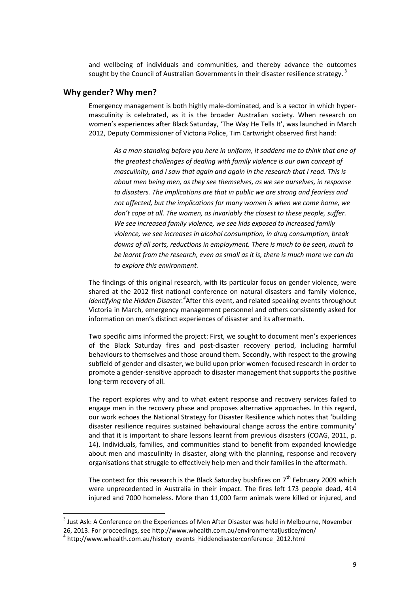and wellbeing of individuals and communities, and thereby advance the outcomes sought by the Council of Australian Governments in their disaster resilience strategy.<sup>3</sup>

## <span id="page-14-0"></span>**Why gender? Why men?**

Emergency management is both highly male-dominated, and is a sector in which hypermasculinity is celebrated, as it is the broader Australian society. When research on women's experiences after Black Saturday, 'The Way He Tells It', was launched in March 2012, Deputy Commissioner of Victoria Police, Tim Cartwright observed first hand:

*As a man standing before you here in uniform, it saddens me to think that one of the greatest challenges of dealing with family violence is our own concept of masculinity, and I saw that again and again in the research that I read. This is about men being men, as they see themselves, as we see ourselves, in response to disasters. The implications are that in public we are strong and fearless and not affected, but the implications for many women is when we come home, we don't cope at all. The women, as invariably the closest to these people, suffer. We see increased family violence, we see kids exposed to increased family violence, we see increases in alcohol consumption, in drug consumption, break downs of all sorts, reductions in employment. There is much to be seen, much to be learnt from the research, even as small as it is, there is much more we can do to explore this environment.* 

The findings of this original research, with its particular focus on gender violence, were shared at the 2012 first national conference on natural disasters and family violence, Identifying the Hidden Disaster.<sup>4</sup> After this event, and related speaking events throughout Victoria in March, emergency management personnel and others consistently asked for information on men's distinct experiences of disaster and its aftermath.

Two specific aims informed the project: First, we sought to document men's experiences of the Black Saturday fires and post-disaster recovery period, including harmful behaviours to themselves and those around them. Secondly, with respect to the growing subfield of gender and disaster, we build upon prior women-focused research in order to promote a gender-sensitive approach to disaster management that supports the positive long-term recovery of all.

The report explores why and to what extent response and recovery services failed to engage men in the recovery phase and proposes alternative approaches. In this regard, our work echoes the National Strategy for Disaster Resilience which notes that 'building disaster resilience requires sustained behavioural change across the entire community' and that it is important to share lessons learnt from previous disasters (COAG, 2011, p. 14). Individuals, families, and communities stand to benefit from expanded knowledge about men and masculinity in disaster, along with the planning, response and recovery organisations that struggle to effectively help men and their families in the aftermath.

The context for this research is the Black Saturday bushfires on  $7<sup>th</sup>$  February 2009 which were unprecedented in Australia in their impact. The fires left 173 people dead, 414 injured and 7000 homeless. More than 11,000 farm animals were killed or injured, and

 $3$  Just Ask: A Conference on the Experiences of Men After Disaster was held in Melbourne, November 26, 2013. For proceedings, see http://www.whealth.com.au/environmentaljustice/men/

<sup>&</sup>lt;sup>4</sup> http://www.whealth.com.au/history\_events\_hiddendisasterconference\_2012.html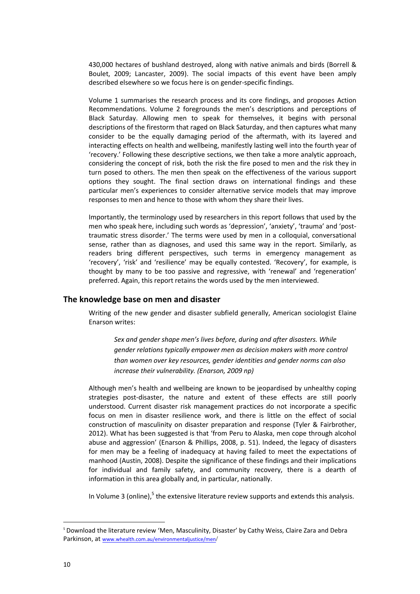430,000 hectares of bushland destroyed, along with native animals and birds (Borrell & Boulet, 2009; Lancaster, 2009). The social impacts of this event have been amply described elsewhere so we focus here is on gender-specific findings.

Volume 1 summarises the research process and its core findings, and proposes Action Recommendations. Volume 2 foregrounds the men's descriptions and perceptions of Black Saturday. Allowing men to speak for themselves, it begins with personal descriptions of the firestorm that raged on Black Saturday, and then captures what many consider to be the equally damaging period of the aftermath, with its layered and interacting effects on health and wellbeing, manifestly lasting well into the fourth year of 'recovery.' Following these descriptive sections, we then take a more analytic approach, considering the concept of risk, both the risk the fire posed to men and the risk they in turn posed to others. The men then speak on the effectiveness of the various support options they sought. The final section draws on international findings and these particular men's experiences to consider alternative service models that may improve responses to men and hence to those with whom they share their lives.

Importantly, the terminology used by researchers in this report follows that used by the men who speak here, including such words as 'depression', 'anxiety', 'trauma' and 'posttraumatic stress disorder.' The terms were used by men in a colloquial, conversational sense, rather than as diagnoses, and used this same way in the report. Similarly, as readers bring different perspectives, such terms in emergency management as 'recovery', 'risk' and 'resilience' may be equally contested. 'Recovery', for example, is thought by many to be too passive and regressive, with 'renewal' and 'regeneration' preferred. Again, this report retains the words used by the men interviewed.

# <span id="page-15-0"></span>**The knowledge base on men and disaster**

Writing of the new gender and disaster subfield generally, American sociologist Elaine Enarson writes:

*Sex and gender shape men's lives before, during and after disasters. While gender relations typically empower men as decision makers with more control than women over key resources, gender identities and gender norms can also increase their vulnerability. (Enarson, 2009 np)*

Although men's health and wellbeing are known to be jeopardised by unhealthy coping strategies post-disaster, the nature and extent of these effects are still poorly understood. Current disaster risk management practices do not incorporate a specific focus on men in disaster resilience work, and there is little on the effect of social construction of masculinity on disaster preparation and response (Tyler & Fairbrother, 2012). What has been suggested is that 'from Peru to Alaska, men cope through alcohol abuse and aggression' (Enarson & Phillips, 2008, p. 51). Indeed, the legacy of disasters for men may be a feeling of inadequacy at having failed to meet the expectations of manhood (Austin, 2008). Despite the significance of these findings and their implications for individual and family safety, and community recovery, there is a dearth of information in this area globally and, in particular, nationally.

In Volume 3 (online),<sup>5</sup> the extensive literature review supports and extends this analysis.

<sup>5</sup> Download the literature review 'Men, Masculinity, Disaster' by Cathy Weiss, Claire Zara and Debra Parkinson, at [www.whealth.com.au/environmentaljustice/men](http://www.whealth.com.au/environmentaljustice/men)/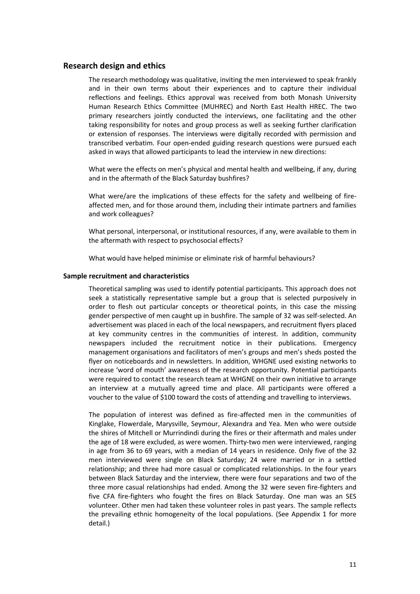## <span id="page-16-0"></span>**Research design and ethics**

The research methodology was qualitative, inviting the men interviewed to speak frankly and in their own terms about their experiences and to capture their individual reflections and feelings. Ethics approval was received from both Monash University Human Research Ethics Committee (MUHREC) and North East Health HREC. The two primary researchers jointly conducted the interviews, one facilitating and the other taking responsibility for notes and group process as well as seeking further clarification or extension of responses. The interviews were digitally recorded with permission and transcribed verbatim. Four open-ended guiding research questions were pursued each asked in ways that allowed participants to lead the interview in new directions:

What were the effects on men's physical and mental health and wellbeing, if any, during and in the aftermath of the Black Saturday bushfires?

What were/are the implications of these effects for the safety and wellbeing of fireaffected men, and for those around them, including their intimate partners and families and work colleagues?

What personal, interpersonal, or institutional resources, if any, were available to them in the aftermath with respect to psychosocial effects?

What would have helped minimise or eliminate risk of harmful behaviours?

#### <span id="page-16-1"></span>**Sample recruitment and characteristics**

Theoretical sampling was used to identify potential participants. This approach does not seek a statistically representative sample but a group that is selected purposively in order to flesh out particular concepts or theoretical points, in this case the missing gender perspective of men caught up in bushfire. The sample of 32 was self-selected. An advertisement was placed in each of the local newspapers, and recruitment flyers placed at key community centres in the communities of interest. In addition, community newspapers included the recruitment notice in their publications. Emergency management organisations and facilitators of men's groups and men's sheds posted the flyer on noticeboards and in newsletters. In addition, WHGNE used existing networks to increase 'word of mouth' awareness of the research opportunity. Potential participants were required to contact the research team at WHGNE on their own initiative to arrange an interview at a mutually agreed time and place. All participants were offered a voucher to the value of \$100 toward the costs of attending and travelling to interviews.

The population of interest was defined as fire-affected men in the communities of Kinglake, Flowerdale, Marysville, Seymour, Alexandra and Yea. Men who were outside the shires of Mitchell or Murrindindi during the fires or their aftermath and males under the age of 18 were excluded, as were women. Thirty-two men were interviewed, ranging in age from 36 to 69 years, with a median of 14 years in residence. Only five of the 32 men interviewed were single on Black Saturday; 24 were married or in a settled relationship; and three had more casual or complicated relationships. In the four years between Black Saturday and the interview, there were four separations and two of the three more casual relationships had ended. Among the 32 were seven fire-fighters and five CFA fire-fighters who fought the fires on Black Saturday. One man was an SES volunteer. Other men had taken these volunteer roles in past years. The sample reflects the prevailing ethnic homogeneity of the local populations. (See Appendix 1 for more detail.)